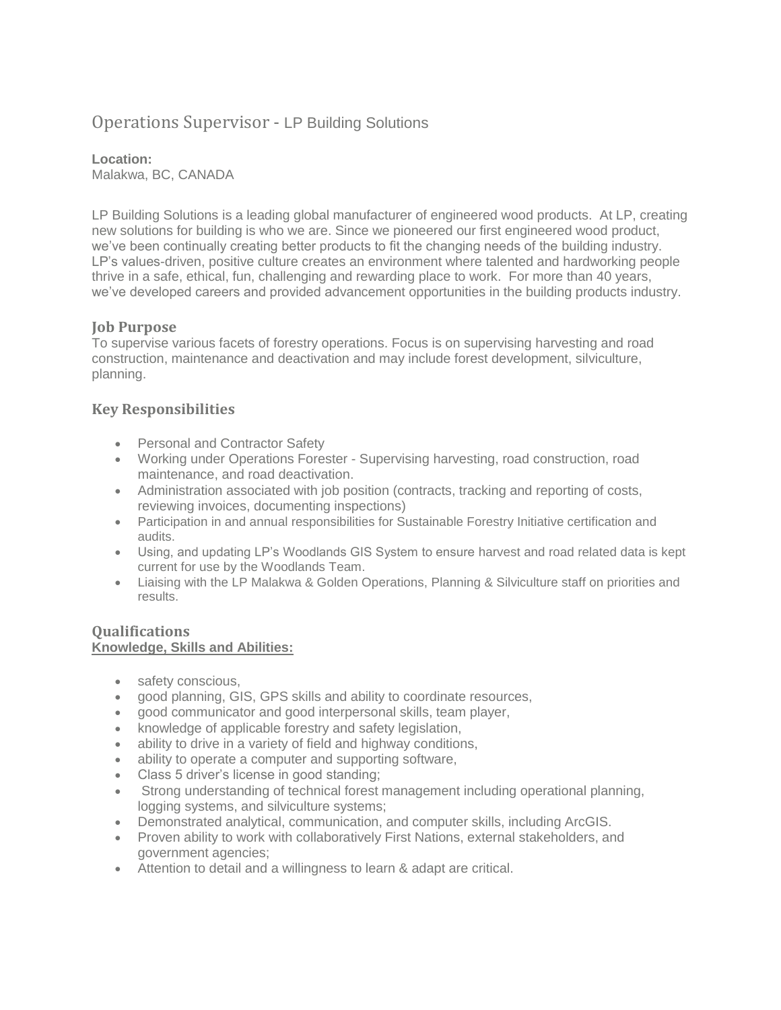# Operations Supervisor - LP Building Solutions

**Location:**  Malakwa, BC, CANADA

LP Building Solutions is a leading global manufacturer of engineered wood products. At LP, creating new solutions for building is who we are. Since we pioneered our first engineered wood product, we've been continually creating better products to fit the changing needs of the building industry. LP's values-driven, positive culture creates an environment where talented and hardworking people thrive in a safe, ethical, fun, challenging and rewarding place to work. For more than 40 years, we've developed careers and provided advancement opportunities in the building products industry.

# **Job Purpose**

To supervise various facets of forestry operations. Focus is on supervising harvesting and road construction, maintenance and deactivation and may include forest development, silviculture, planning.

# **Key Responsibilities**

- Personal and Contractor Safety
- Working under Operations Forester Supervising harvesting, road construction, road maintenance, and road deactivation.
- Administration associated with job position (contracts, tracking and reporting of costs, reviewing invoices, documenting inspections)
- Participation in and annual responsibilities for Sustainable Forestry Initiative certification and audits.
- Using, and updating LP's Woodlands GIS System to ensure harvest and road related data is kept current for use by the Woodlands Team.
- Liaising with the LP Malakwa & Golden Operations, Planning & Silviculture staff on priorities and results.

#### **Qualifications Knowledge, Skills and Abilities:**

- safety conscious,
- good planning, GIS, GPS skills and ability to coordinate resources,
- good communicator and good interpersonal skills, team player,
- knowledge of applicable forestry and safety legislation,
- ability to drive in a variety of field and highway conditions,
- ability to operate a computer and supporting software,
- Class 5 driver's license in good standing;
- Strong understanding of technical forest management including operational planning, logging systems, and silviculture systems;
- Demonstrated analytical, communication, and computer skills, including ArcGIS.
- Proven ability to work with collaboratively First Nations, external stakeholders, and government agencies;
- Attention to detail and a willingness to learn & adapt are critical.